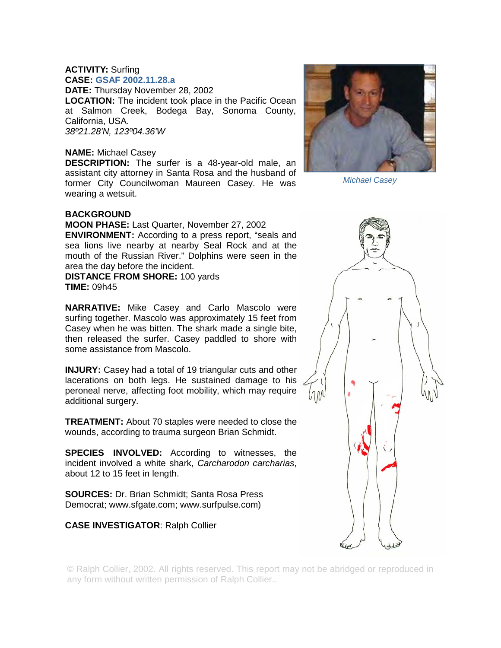## **ACTIVITY:** Surfing **CASE: GSAF 2002.11.28.a**

**DATE:** Thursday November 28, 2002 **LOCATION:** The incident took place in the Pacific Ocean at Salmon Creek, Bodega Bay, Sonoma County, California, USA. *38º21.28'N, 123º04.36'W* 

## **NAME:** Michael Casey

**DESCRIPTION:** The surfer is a 48-year-old male, an assistant city attorney in Santa Rosa and the husband of former City Councilwoman Maureen Casey. He was wearing a wetsuit.

## **BACKGROUND**

**MOON PHASE:** Last Quarter, November 27, 2002 **ENVIRONMENT:** According to a press report, "seals and sea lions live nearby at nearby Seal Rock and at the mouth of the Russian River." Dolphins were seen in the area the day before the incident.

**DISTANCE FROM SHORE:** 100 yards **TIME:** 09h45

**NARRATIVE:** Mike Casey and Carlo Mascolo were surfing together. Mascolo was approximately 15 feet from Casey when he was bitten. The shark made a single bite, then released the surfer. Casey paddled to shore with some assistance from Mascolo.

**INJURY:** Casey had a total of 19 triangular cuts and other lacerations on both legs. He sustained damage to his peroneal nerve, affecting foot mobility, which may require additional surgery.

**TREATMENT:** About 70 staples were needed to close the wounds, according to trauma surgeon Brian Schmidt.

**SPECIES INVOLVED:** According to witnesses, the incident involved a white shark, *Carcharodon carcharias*, about 12 to 15 feet in length.

**SOURCES:** Dr. Brian Schmidt; Santa Rosa Press Democrat; www.sfgate.com; www.surfpulse.com)

## **CASE INVESTIGATOR**: Ralph Collier



*Michael Casey* 



© Ralph Collier, 2002. All rights reserved. This report may not be abridged or reproduced in any form without written permission of Ralph Collier..